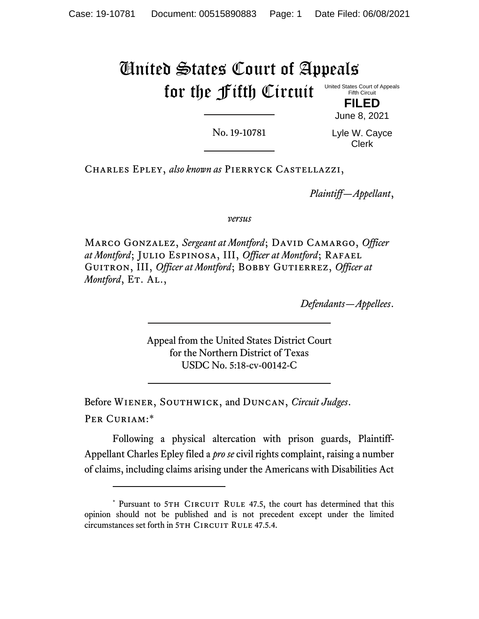### United States Court of Appeals for the Fifth Circuit United States Court of Appeals Fifth Circuit **FILED**

No. 19-10781

Lyle W. Cayce Clerk

June 8, 2021

Charles Epley, *also known as* Pierryck Castellazzi,

*Plaintiff—Appellant*,

*versus*

MARCO GONZALEZ, Sergeant at Montford; DAVID CAMARGO, Officer *at Montford*; Julio Espinosa, III, *Officer at Montford*; Rafael GUITRON, III, *Officer at Montford*; BOBBY GUTIERREZ, *Officer at Montford*, ET. AL.,

*Defendants—Appellees*.

Appeal from the United States District Court for the Northern District of Texas USDC No. 5:18-cv-00142-C

Before Wiener, Southwick, and Duncan, *Circuit Judges*. Per Curiam:\*

Following a physical altercation with prison guards, Plaintiff-Appellant Charles Epley filed a *pro se* civil rights complaint, raising a number of claims, including claims arising under the Americans with Disabilities Act

<sup>\*</sup> Pursuant to 5TH CIRCUIT RULE 47.5, the court has determined that this opinion should not be published and is not precedent except under the limited circumstances set forth in 5TH CIRCUIT RULE 47.5.4.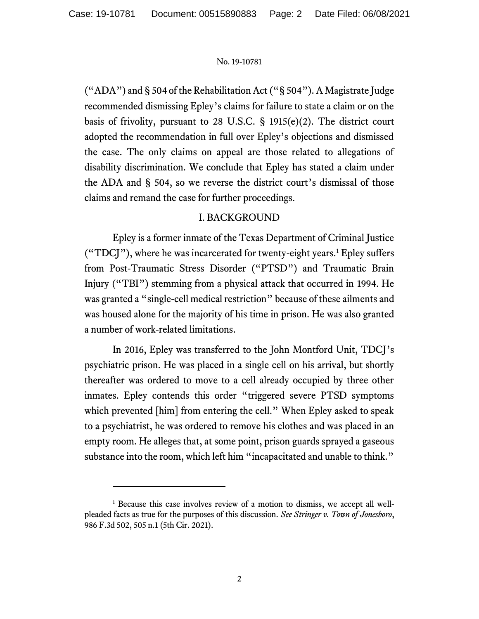("ADA") and § 504 of the Rehabilitation Act ("§ 504"). A Magistrate Judge recommended dismissing Epley's claims for failure to state a claim or on the basis of frivolity, pursuant to 28 U.S.C. § 1915(e)(2). The district court adopted the recommendation in full over Epley's objections and dismissed the case. The only claims on appeal are those related to allegations of disability discrimination. We conclude that Epley has stated a claim under the ADA and § 504, so we reverse the district court's dismissal of those claims and remand the case for further proceedings.

## I. BACKGROUND

Epley is a former inmate of the Texas Department of Criminal Justice ("TDCJ"), where he was incarcerated for twenty-eight years.<sup>1</sup> Epley suffers from Post-Traumatic Stress Disorder ("PTSD") and Traumatic Brain Injury ("TBI") stemming from a physical attack that occurred in 1994. He was granted a "single-cell medical restriction" because of these ailments and was housed alone for the majority of his time in prison. He was also granted a number of work-related limitations.

In 2016, Epley was transferred to the John Montford Unit, TDCJ's psychiatric prison. He was placed in a single cell on his arrival, but shortly thereafter was ordered to move to a cell already occupied by three other inmates. Epley contends this order "triggered severe PTSD symptoms which prevented [him] from entering the cell." When Epley asked to speak to a psychiatrist, he was ordered to remove his clothes and was placed in an empty room. He alleges that, at some point, prison guards sprayed a gaseous substance into the room, which left him "incapacitated and unable to think."

<sup>&</sup>lt;sup>1</sup> Because this case involves review of a motion to dismiss, we accept all wellpleaded facts as true for the purposes of this discussion. *See Stringer v. Town of Jonesboro*, 986 F.3d 502, 505 n.1 (5th Cir. 2021).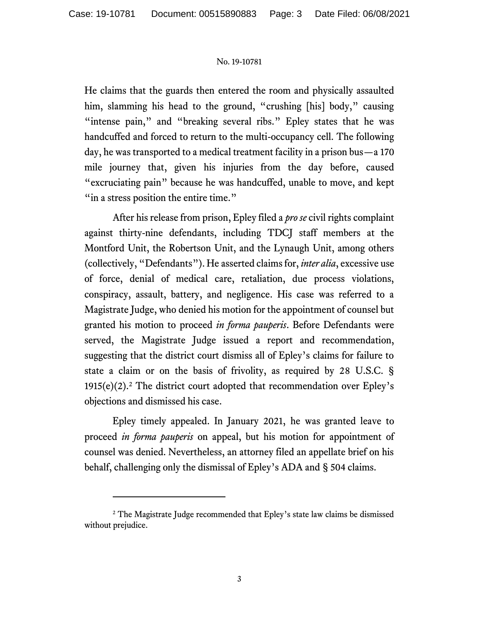He claims that the guards then entered the room and physically assaulted him, slamming his head to the ground, "crushing [his] body," causing "intense pain," and "breaking several ribs." Epley states that he was handcuffed and forced to return to the multi-occupancy cell. The following day, he was transported to a medical treatment facility in a prison bus—a 170 mile journey that, given his injuries from the day before, caused "excruciating pain" because he was handcuffed, unable to move, and kept "in a stress position the entire time."

After his release from prison, Epley filed a *pro se* civil rights complaint against thirty-nine defendants, including TDCJ staff members at the Montford Unit, the Robertson Unit, and the Lynaugh Unit, among others (collectively, "Defendants"). He asserted claims for, *inter alia*, excessive use of force, denial of medical care, retaliation, due process violations, conspiracy, assault, battery, and negligence. His case was referred to a Magistrate Judge, who denied his motion for the appointment of counsel but granted his motion to proceed *in forma pauperis*. Before Defendants were served, the Magistrate Judge issued a report and recommendation, suggesting that the district court dismiss all of Epley's claims for failure to state a claim or on the basis of frivolity, as required by 28 U.S.C. § 1915(e)(2).<sup>2</sup> The district court adopted that recommendation over Epley's objections and dismissed his case.

Epley timely appealed. In January 2021, he was granted leave to proceed *in forma pauperis* on appeal, but his motion for appointment of counsel was denied. Nevertheless, an attorney filed an appellate brief on his behalf, challenging only the dismissal of Epley's ADA and § 504 claims.

<sup>&</sup>lt;sup>2</sup> The Magistrate Judge recommended that Epley's state law claims be dismissed without prejudice.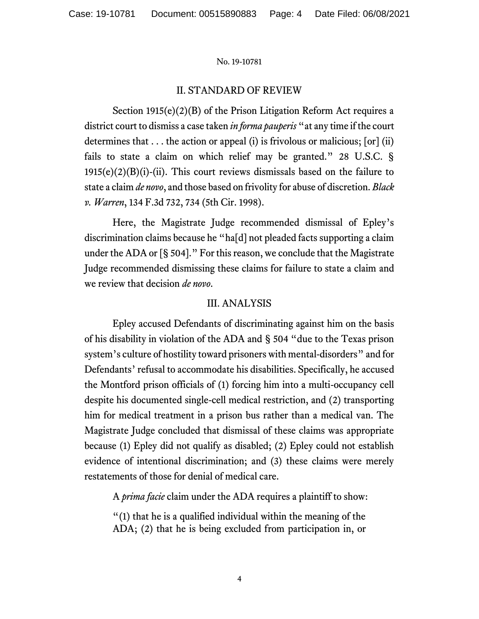## II. STANDARD OF REVIEW

Section 1915(e)(2)(B) of the Prison Litigation Reform Act requires a district court to dismiss a case taken *in forma pauperis* "at any time if the court determines that  $\dots$  the action or appeal (i) is frivolous or malicious; [or] (ii) fails to state a claim on which relief may be granted." 28 U.S.C. §  $1915(e)(2)(B)(i)$ -(ii). This court reviews dismissals based on the failure to state a claim *de novo*, and those based on frivolity for abuse of discretion. *Black v. Warren*, 134 F.3d 732, 734 (5th Cir. 1998).

Here, the Magistrate Judge recommended dismissal of Epley's discrimination claims because he "ha[d] not pleaded facts supporting a claim under the ADA or [§ 504]." For this reason, we conclude that the Magistrate Judge recommended dismissing these claims for failure to state a claim and we review that decision *de novo*.

## III. ANALYSIS

Epley accused Defendants of discriminating against him on the basis of his disability in violation of the ADA and § 504 "due to the Texas prison system's culture of hostility toward prisoners with mental-disorders" and for Defendants' refusal to accommodate his disabilities. Specifically, he accused the Montford prison officials of (1) forcing him into a multi-occupancy cell despite his documented single-cell medical restriction, and (2) transporting him for medical treatment in a prison bus rather than a medical van. The Magistrate Judge concluded that dismissal of these claims was appropriate because (1) Epley did not qualify as disabled; (2) Epley could not establish evidence of intentional discrimination; and (3) these claims were merely restatements of those for denial of medical care.

A *prima facie* claim under the ADA requires a plaintiff to show:

"(1) that he is a qualified individual within the meaning of the ADA; (2) that he is being excluded from participation in, or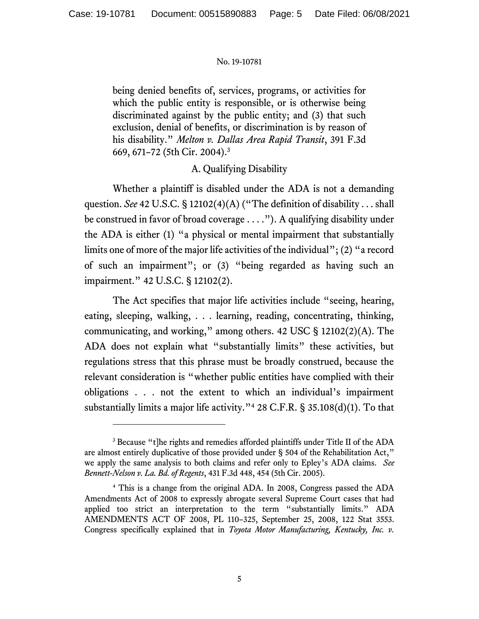being denied benefits of, services, programs, or activities for which the public entity is responsible, or is otherwise being discriminated against by the public entity; and (3) that such exclusion, denial of benefits, or discrimination is by reason of his disability." *Melton v. Dallas Area Rapid Transit*, 391 F.3d 669, 671–72 (5th Cir. 2004).<sup>3</sup>

# A. Qualifying Disability

Whether a plaintiff is disabled under the ADA is not a demanding question. *See* 42 U.S.C. § 12102(4)(A) ("The definition of disability . . . shall be construed in favor of broad coverage . . . ."). A qualifying disability under the ADA is either (1) "a physical or mental impairment that substantially limits one of more of the major life activities of the individual"; (2) "a record of such an impairment"; or (3) "being regarded as having such an impairment." 42 U.S.C. § 12102(2).

The Act specifies that major life activities include "seeing, hearing, eating, sleeping, walking, . . . learning, reading, concentrating, thinking, communicating, and working," among others. 42 USC § 12102(2)(A). The ADA does not explain what "substantially limits" these activities, but regulations stress that this phrase must be broadly construed, because the relevant consideration is "whether public entities have complied with their obligations . . . not the extent to which an individual's impairment substantially limits a major life activity."<sup>4</sup> 28 C.F.R. § 35.108(d)(1). To that

<sup>&</sup>lt;sup>3</sup> Because "t]he rights and remedies afforded plaintiffs under Title II of the ADA are almost entirely duplicative of those provided under § 504 of the Rehabilitation Act," we apply the same analysis to both claims and refer only to Epley's ADA claims. *See Bennett-Nelson v. La. Bd. of Regents*, 431 F.3d 448, 454 (5th Cir. 2005).

<sup>4</sup> This is a change from the original ADA. In 2008, Congress passed the ADA Amendments Act of 2008 to expressly abrogate several Supreme Court cases that had applied too strict an interpretation to the term "substantially limits." ADA AMENDMENTS ACT OF 2008, PL 110–325, September 25, 2008, 122 Stat 3553. Congress specifically explained that in *Toyota Motor Manufacturing, Kentucky, Inc. v.*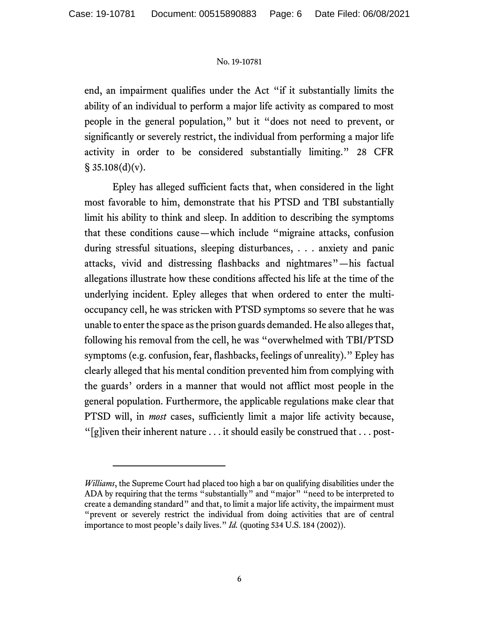end, an impairment qualifies under the Act "if it substantially limits the ability of an individual to perform a major life activity as compared to most people in the general population," but it "does not need to prevent, or significantly or severely restrict, the individual from performing a major life activity in order to be considered substantially limiting." 28 CFR  $\S$  35.108(d)(v).

Epley has alleged sufficient facts that, when considered in the light most favorable to him, demonstrate that his PTSD and TBI substantially limit his ability to think and sleep. In addition to describing the symptoms that these conditions cause—which include "migraine attacks, confusion during stressful situations, sleeping disturbances, . . . anxiety and panic attacks, vivid and distressing flashbacks and nightmares"—his factual allegations illustrate how these conditions affected his life at the time of the underlying incident. Epley alleges that when ordered to enter the multioccupancy cell, he was stricken with PTSD symptoms so severe that he was unable to enter the space as the prison guards demanded. He also alleges that, following his removal from the cell, he was "overwhelmed with TBI/PTSD symptoms (e.g. confusion, fear, flashbacks, feelings of unreality)." Epley has clearly alleged that his mental condition prevented him from complying with the guards' orders in a manner that would not afflict most people in the general population. Furthermore, the applicable regulations make clear that PTSD will, in *most* cases, sufficiently limit a major life activity because, "[g]iven their inherent nature  $\dots$  it should easily be construed that  $\dots$  post-

*Williams*, the Supreme Court had placed too high a bar on qualifying disabilities under the ADA by requiring that the terms "substantially" and "major" "need to be interpreted to create a demanding standard" and that, to limit a major life activity, the impairment must "prevent or severely restrict the individual from doing activities that are of central importance to most people's daily lives." *Id.* (quoting 534 U.S. 184 (2002)).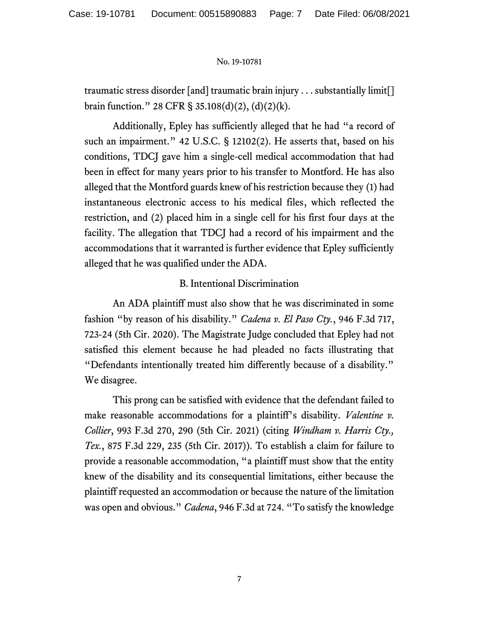traumatic stress disorder [and] traumatic brain injury . . . substantially limit[] brain function." 28 CFR § 35.108(d)(2), (d)(2)(k).

Additionally, Epley has sufficiently alleged that he had "a record of such an impairment." 42 U.S.C. § 12102(2). He asserts that, based on his conditions, TDCJ gave him a single-cell medical accommodation that had been in effect for many years prior to his transfer to Montford. He has also alleged that the Montford guards knew of his restriction because they (1) had instantaneous electronic access to his medical files, which reflected the restriction, and (2) placed him in a single cell for his first four days at the facility. The allegation that TDCJ had a record of his impairment and the accommodations that it warranted is further evidence that Epley sufficiently alleged that he was qualified under the ADA.

# B. Intentional Discrimination

An ADA plaintiff must also show that he was discriminated in some fashion "by reason of his disability." *Cadena v. El Paso Cty.*, 946 F.3d 717, 723-24 (5th Cir. 2020). The Magistrate Judge concluded that Epley had not satisfied this element because he had pleaded no facts illustrating that "Defendants intentionally treated him differently because of a disability." We disagree.

This prong can be satisfied with evidence that the defendant failed to make reasonable accommodations for a plaintiff's disability. *Valentine v. Collier*, 993 F.3d 270, 290 (5th Cir. 2021) (citing *Windham v. Harris Cty., Tex.*, 875 F.3d 229, 235 (5th Cir. 2017)). To establish a claim for failure to provide a reasonable accommodation, "a plaintiff must show that the entity knew of the disability and its consequential limitations, either because the plaintiff requested an accommodation or because the nature of the limitation was open and obvious." *Cadena*, 946 F.3d at 724. "To satisfy the knowledge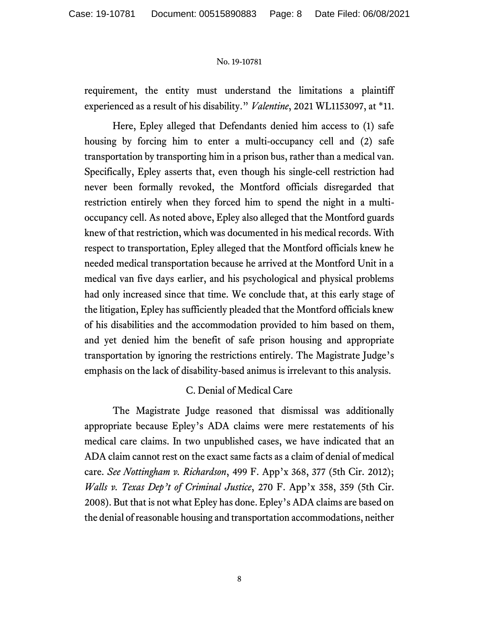requirement, the entity must understand the limitations a plaintiff experienced as a result of his disability." *Valentine*, 2021 WL1153097, at \*11.

Here, Epley alleged that Defendants denied him access to (1) safe housing by forcing him to enter a multi-occupancy cell and (2) safe transportation by transporting him in a prison bus, rather than a medical van. Specifically, Epley asserts that, even though his single-cell restriction had never been formally revoked, the Montford officials disregarded that restriction entirely when they forced him to spend the night in a multioccupancy cell. As noted above, Epley also alleged that the Montford guards knew of that restriction, which was documented in his medical records. With respect to transportation, Epley alleged that the Montford officials knew he needed medical transportation because he arrived at the Montford Unit in a medical van five days earlier, and his psychological and physical problems had only increased since that time. We conclude that, at this early stage of the litigation, Epley has sufficiently pleaded that the Montford officials knew of his disabilities and the accommodation provided to him based on them, and yet denied him the benefit of safe prison housing and appropriate transportation by ignoring the restrictions entirely. The Magistrate Judge's emphasis on the lack of disability-based animus is irrelevant to this analysis.

# C. Denial of Medical Care

The Magistrate Judge reasoned that dismissal was additionally appropriate because Epley's ADA claims were mere restatements of his medical care claims. In two unpublished cases, we have indicated that an ADA claim cannot rest on the exact same facts as a claim of denial of medical care. *See Nottingham v. Richardson*, 499 F. App'x 368, 377 (5th Cir. 2012); *Walls v. Texas Dep't of Criminal Justice*, 270 F. App'x 358, 359 (5th Cir. 2008). But that is not what Epley has done. Epley's ADA claims are based on the denial of reasonable housing and transportation accommodations, neither